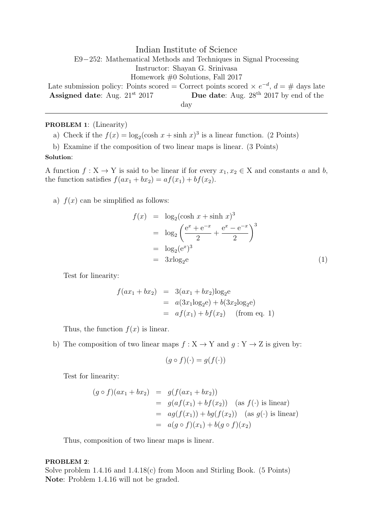Indian Institute of Science E9−252: Mathematical Methods and Techniques in Signal Processing Instructor: Shayan G. Srinivasa Homework #0 Solutions, Fall 2017 Late submission policy: Points scored = Correct points scored  $\times e^{-d}$ ,  $d = \#$  days late Assigned date: Aug.  $21^{st}$   $2017$  Due date: Aug.  $28^{th}$   $2017$  by end of the

day

# PROBLEM 1: (Linearity)

a) Check if the  $f(x) = \log_2(\cosh x + \sinh x)^3$  is a linear function. (2 Points)

b) Examine if the composition of two linear maps is linear. (3 Points)

# Solution:

A function  $f: X \to Y$  is said to be linear if for every  $x_1, x_2 \in X$  and constants a and b, the function satisfies  $f(ax_1 + bx_2) = af(x_1) + bf(x_2)$ .

a)  $f(x)$  can be simplified as follows:

$$
f(x) = \log_2(\cosh x + \sinh x)^3
$$
  
=  $\log_2 \left( \frac{e^x + e^{-x}}{2} + \frac{e^x - e^{-x}}{2} \right)^3$   
=  $\log_2 (e^x)^3$   
=  $3x \log_2 e$  (1)

Test for linearity:

$$
f(ax_1 + bx_2) = 3(ax_1 + bx_2)\log_2 e
$$
  
=  $a(3x_1\log_2 e) + b(3x_2\log_2 e)$   
=  $af(x_1) + bf(x_2)$  (from eq. 1)

Thus, the function  $f(x)$  is linear.

b) The composition of two linear maps  $f : X \to Y$  and  $g : Y \to Z$  is given by:

$$
(g \circ f)(\cdot) = g(f(\cdot))
$$

Test for linearity:

$$
(g \circ f)(ax_1 + bx_2) = g(f(ax_1 + bx_2))
$$
  
=  $g(af(x_1) + bf(x_2))$  (as  $f(\cdot)$  is linear)  
=  $ag(f(x_1)) + bg(f(x_2))$  (as  $g(\cdot)$  is linear)  
=  $a(g \circ f)(x_1) + b(g \circ f)(x_2)$ 

Thus, composition of two linear maps is linear.

## PROBLEM 2:

Solve problem  $1.4.16$  and  $1.4.18(c)$  from Moon and Stirling Book. (5 Points) Note: Problem 1.4.16 will not be graded.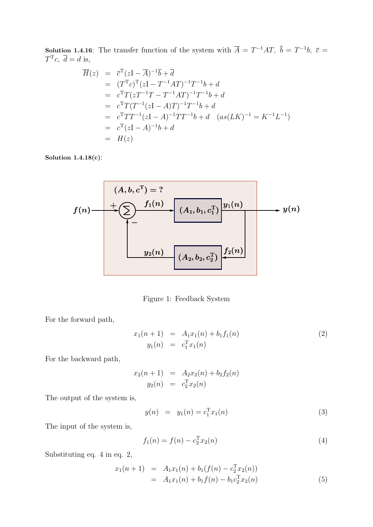**Solution 1.4.16:** The transfer function of the system with  $\overline{A} = T^{-1}AT$ ,  $\overline{b} = T^{-1}b$ ,  $\overline{c} =$  $T^{\mathrm{T}}c, \overline{d}=d$  is,

$$
\overline{H}(z) = \overline{c}^{T}(zI - \overline{A})^{-1}\overline{b} + \overline{d}
$$
\n
$$
= (T^{T}c)^{T}(zI - T^{-1}AT)^{-1}T^{-1}b + d
$$
\n
$$
= c^{T}T(zT^{-1}T - T^{-1}AT)^{-1}T^{-1}b + d
$$
\n
$$
= c^{T}T(T^{-1}(zI - A)T)^{-1}T^{-1}b + d
$$
\n
$$
= c^{T}TT^{-1}(zI - A)^{-1}TT^{-1}b + d \quad (as(LK)^{-1} = K^{-1}L^{-1})
$$
\n
$$
= c^{T}(zI - A)^{-1}b + d
$$
\n
$$
= H(z)
$$

Solution 1.4.18(c):

$$
f(n) \longrightarrow \left(\sum_{i=1}^{n} f_1(n) + \left(\sum_{i=1}^{n} f_2(n) + \left(\sum_{i=1}^{n} f_1(n) + \left(\sum_{i=1}^{n} f_2(n) + \left(\sum_{i=1}^{n} f_1(n) + \left(\sum_{i=1}^{n} f_2(n) + \left(\sum_{i=1}^{n} f_1(n) + \left(\sum_{i=1}^{n} f_2(n) + \left(\sum_{i=1}^{n} f_1(n) + \left(\sum_{i=1}^{n} f_1(n) + \left(\sum_{i=1}^{n} f_1(n) + \left(\sum_{i=1}^{n} f_1(n) + \left(\sum_{i=1}^{n} f_1(n) + \left(\sum_{i=1}^{n} f_1(n) + \left(\sum_{i=1}^{n} f_1(n) + \left(\sum_{i=1}^{n} f_1(n) + \left(\sum_{i=1}^{n} f_1(n) + \left(\sum_{i=1}^{n} f_1(n) + \left(\sum_{i=1}^{n} f_1(n) + \left(\sum_{i=1}^{n} f_1(n) + \left(\sum_{i=1}^{n} f_1(n) + \left(\sum_{i=1}^{n} f_1(n) + \left(\sum_{i=1}^{n} f_1(n) + \left(\sum_{i=1}^{n} f_1(n) + \left(\sum_{i=1}^{n} f_1(n) + \left(\sum_{i=1}^{n} f_1(n) + \left(\sum_{i=1}^{n} f_1(n) + \left(\sum_{i=1}^{n} f_1(n) + \left(\sum_{i=1}^{n} f_1(n) + \left(\sum_{i=1}^{n} f_1(n) + \left(\sum_{i=1}^{n} f_1(n) + \left(\sum_{i=1}^{n} f_1(n) + \left(\sum_{i=1}^{n} f_1(n) + \left(\sum_{i=1}^{n} f_1(n) + \left(\sum_{i=1}^{n} f_1(n) + \left(\sum_{i=1}^{n} f_1(n) + \left(\sum_{i=1}^{n} f_1(n) + \left(\sum_{i=1}^{n} f_1(n) + \left(\sum_{i=1}^{n} f_1(n) + \left(\sum_{i=1}^{n} f_1(n) + \left(\sum_{i=1}^{n} f_1(n) + \left(\sum_{i=1}^{n} f_1(n
$$

Figure 1: Feedback System

For the forward path,

$$
x_1(n+1) = A_1x_1(n) + b_1f_1(n)
$$
  
\n
$$
y_1(n) = c_1^{T}x_1(n)
$$
\n(2)

For the backward path,

$$
x_2(n + 1) = A_2 x_2(n) + b_2 f_2(n)
$$
  

$$
y_2(n) = c_2^T x_2(n)
$$

The output of the system is,

$$
y(n) = y_1(n) = c_1^{\mathrm{T}} x_1(n)
$$
\n(3)

The input of the system is,

$$
f_1(n) = f(n) - c_2^{\mathrm{T}} x_2(n)
$$
\n(4)

Substituting eq. 4 in eq. 2,

$$
x_1(n+1) = A_1x_1(n) + b_1(f(n) - c_2^{T}x_2(n))
$$
  
=  $A_1x_1(n) + b_1f(n) - b_1c_2^{T}x_2(n)$  (5)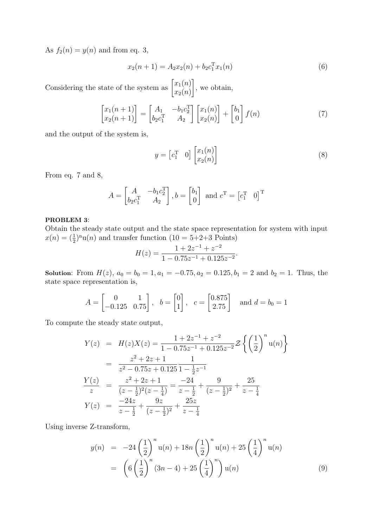As  $f_2(n) = y(n)$  and from eq. 3,

$$
x_2(n+1) = A_2 x_2(n) + b_2 c_1^{\mathrm{T}} x_1(n)
$$
\n(6)

Considering the state of the system as  $\begin{bmatrix} x_1(n) \\ x_n(n) \end{bmatrix}$  $x_2(n)$ 1 , we obtain,

$$
\begin{bmatrix} x_1(n+1) \\ x_2(n+1) \end{bmatrix} = \begin{bmatrix} A_1 & -b_1 c_2^{\mathrm{T}} \\ b_2 c_1^{\mathrm{T}} & A_2 \end{bmatrix} \begin{bmatrix} x_1(n) \\ x_2(n) \end{bmatrix} + \begin{bmatrix} b_1 \\ 0 \end{bmatrix} f(n) \tag{7}
$$

and the output of the system is,

$$
y = \begin{bmatrix} c_1^T & 0 \end{bmatrix} \begin{bmatrix} x_1(n) \\ x_2(n) \end{bmatrix} \tag{8}
$$

From eq. 7 and 8,

$$
A = \begin{bmatrix} A & -b_1 c_2^{\mathrm{T}} \\ b_2 c_1^{\mathrm{T}} & A_2 \end{bmatrix}, b = \begin{bmatrix} b_1 \\ 0 \end{bmatrix} \text{ and } c^{\mathrm{T}} = \begin{bmatrix} c_1^{\mathrm{T}} & 0 \end{bmatrix}^{\mathrm{T}}
$$

#### PROBLEM 3:

Obtain the steady state output and the state space representation for system with input  $x(n) = \left(\frac{1}{2}\right)^n u(n)$  and transfer function  $(10 = 5+2+3 \text{ Points})$ 

$$
H(z) = \frac{1 + 2z^{-1} + z^{-2}}{1 - 0.75z^{-1} + 0.125z^{-2}}.
$$

Solution: From  $H(z)$ ,  $a_0 = b_0 = 1$ ,  $a_1 = -0.75$ ,  $a_2 = 0.125$ ,  $b_1 = 2$  and  $b_2 = 1$ . Thus, the state space representation is,

$$
A = \begin{bmatrix} 0 & 1 \\ -0.125 & 0.75 \end{bmatrix}, \quad b = \begin{bmatrix} 0 \\ 1 \end{bmatrix}, \quad c = \begin{bmatrix} 0.875 \\ 2.75 \end{bmatrix} \quad \text{and } d = b_0 = 1
$$

To compute the steady state output,

$$
Y(z) = H(z)X(z) = \frac{1 + 2z^{-1} + z^{-2}}{1 - 0.75z^{-1} + 0.125z^{-2}} \mathcal{Z}\left\{ \left(\frac{1}{2}\right)^n u(n) \right\}
$$
  
= 
$$
\frac{z^2 + 2z + 1}{z^2 - 0.75z + 0.125} \frac{1}{1 - \frac{1}{2}z^{-1}}
$$
  

$$
\frac{Y(z)}{z} = \frac{z^2 + 2z + 1}{(z - \frac{1}{2})^2(z - \frac{1}{4})} = \frac{-24}{z - \frac{1}{2}} + \frac{9}{(z - \frac{1}{2})^2} + \frac{25}{z - \frac{1}{4}}
$$
  

$$
Y(z) = \frac{-24z}{z - \frac{1}{2}} + \frac{9z}{(z - \frac{1}{2})^2} + \frac{25z}{z - \frac{1}{4}}
$$

Using inverse Z-transform,

$$
y(n) = -24\left(\frac{1}{2}\right)^n u(n) + 18n\left(\frac{1}{2}\right)^n u(n) + 25\left(\frac{1}{4}\right)^n u(n)
$$
  
=  $\left(6\left(\frac{1}{2}\right)^n (3n-4) + 25\left(\frac{1}{4}\right)^n\right) u(n)$  (9)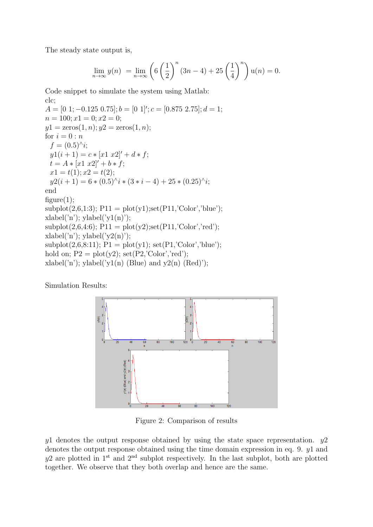The steady state output is,

$$
\lim_{n \to \infty} y(n) = \lim_{n \to \infty} \left( 6 \left( \frac{1}{2} \right)^n (3n - 4) + 25 \left( \frac{1}{4} \right)^n \right) u(n) = 0.
$$

Code snippet to simulate the system using Matlab: clc;

 $A = \begin{bmatrix} 0 & 1 \\ -0.125 & 0.75 \end{bmatrix}; b = \begin{bmatrix} 0 & 1 \\ \end{bmatrix}; c = \begin{bmatrix} 0.875 & 2.75 \\ \end{bmatrix}; d = 1;$  $n = 100; x1 = 0; x2 = 0;$  $y1 = \text{zeros}(1, n); y2 = \text{zeros}(1, n);$ for  $i = 0:n$  $f = (0.5)^{\wedge} i;$  $y1(i + 1) = c * [x1 x2]' + d * f;$  $t = A * [x1 \ x2]' + b * f;$  $x1 = t(1); x2 = t(2);$  $y2(i + 1) = 6 * (0.5)^{\hat{ }} i * (3 * i - 4) + 25 * (0.25)^{\hat{ }} i;$ end  $figure(1);$  $\text{subplot}(2,6,1:3); \text{P11} = \text{plot}(y1); \text{set}(P11; \text{Color'}, \text{'blue'});$  $xlabel('n'); ylabel('y1(n');$  $subplot(2,6,4:6);$   $P11 = plot(y2); set(P11; Color'; red');$  $xlabel('n'); ylabel('y2(n))$ ;  $\text{subplot}(2,6,8:11);$   $P1 = \text{plot}(y1);$   $\text{set}(P1, \text{'Color', 'blue'});$ hold on;  $P2 = plot(y2)$ ;  $set(P2, 'Color', 'red');$ xlabel('n'); ylabel('y1(n) (Blue) and y2(n) (Red)');

Simulation Results:



Figure 2: Comparison of results

 $y1$  denotes the output response obtained by using the state space representation.  $y2$ denotes the output response obtained using the time domain expression in eq. 9. y1 and  $y2$  are plotted in 1<sup>st</sup> and 2<sup>nd</sup> subplot respectively. In the last subplot, both are plotted together. We observe that they both overlap and hence are the same.